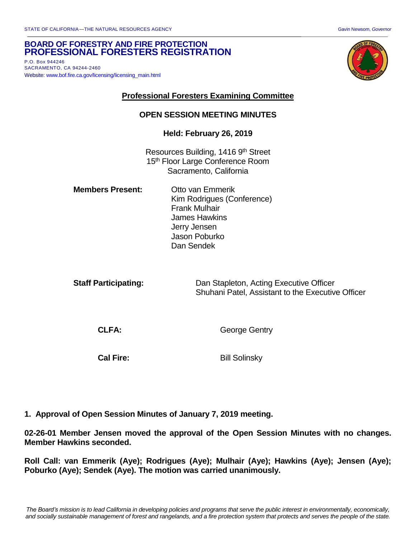## **BOARD OF FORESTRY AND FIRE PROTECTION PROFESSIONAL FORESTERS REGISTRATION**

P.O. Box 944246 SACRAMENTO, CA 94244-2460 Website[: www.bof.fire.ca.gov/licensing/licensing\\_main.html](http://www.bof.fire.ca.gov/licensing/licensing_main.html)



## **Professional Foresters Examining Committee**

#### **OPEN SESSION MEETING MINUTES**

#### **Held: February 26, 2019**

Resources Building, 1416 9th Street 15<sup>th</sup> Floor Large Conference Room Sacramento, California

**Members Present:** Otto van Emmerik Kim Rodrigues (Conference) Frank Mulhair James Hawkins Jerry Jensen Jason Poburko Dan Sendek

| <b>Staff Participating:</b> | Dan Stapleton, Acting Executive Officer           |
|-----------------------------|---------------------------------------------------|
|                             | Shuhani Patel, Assistant to the Executive Officer |

**CLFA:** George Gentry

**Cal Fire:** Bill Solinsky

**1. Approval of Open Session Minutes of January 7, 2019 meeting.**

**02-26-01 Member Jensen moved the approval of the Open Session Minutes with no changes. Member Hawkins seconded.** 

**Roll Call: van Emmerik (Aye); Rodrigues (Aye); Mulhair (Aye); Hawkins (Aye); Jensen (Aye); Poburko (Aye); Sendek (Aye). The motion was carried unanimously.**